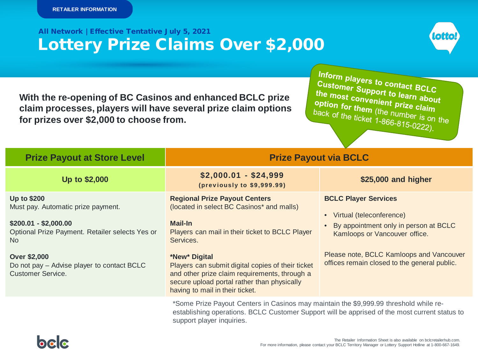# Lottery Prize Claims Over \$2,000 All Network | Effective Tentative July 5, 2021



**With the re-opening of BC Casinos and enhanced BCLC prize claim processes, players will have several prize claim options for prizes over \$2,000 to choose from.** 

Inform players to contact BCLC<br>Customer Support to learned: Customer Support to learn about<br>the most convenient bearn about<br>option for the most convenient prize at the the most convenient to learn about<br>option for them (the number of the number of the number of the number of the number of the number of the number of the number of the number of the number of the number of the number of th option for them (the number is on the<br>back of the ticket 1-866-815-0220) back of the ticket 1-866-815-0222).

| <b>Prize Payout at Store Level</b>                                                                                                         | <b>Prize Payout via BCLC</b>                                                                                                                                                                                        |                                                                                                                                                                                            |
|--------------------------------------------------------------------------------------------------------------------------------------------|---------------------------------------------------------------------------------------------------------------------------------------------------------------------------------------------------------------------|--------------------------------------------------------------------------------------------------------------------------------------------------------------------------------------------|
| Up to \$2,000                                                                                                                              | $$2,000.01 - $24,999$<br>(previously to \$9,999.99)                                                                                                                                                                 | \$25,000 and higher                                                                                                                                                                        |
| <b>Up to \$200</b><br>Must pay. Automatic prize payment.<br>$$200.01 - $2,000.00$<br>Optional Prize Payment. Retailer selects Yes or<br>No | <b>Regional Prize Payout Centers</b><br>(located in select BC Casinos* and malls)<br><b>Mail-In</b><br>Players can mail in their ticket to BCLC Player<br>Services.                                                 | <b>BCLC Player Services</b><br>Virtual (teleconference)<br>$\bullet$<br>By appointment only in person at BCLC<br>Kamloops or Vancouver office.<br>Please note, BCLC Kamloops and Vancouver |
| <b>Over \$2,000</b><br>Do not pay - Advise player to contact BCLC<br><b>Customer Service.</b>                                              | *New* Digital<br>Players can submit digital copies of their ticket<br>and other prize claim requirements, through a<br>secure upload portal rather than physically<br>having to mail in their ticket.               | offices remain closed to the general public.                                                                                                                                               |
|                                                                                                                                            | *Some Prize Payout Centers in Casinos may maintain the \$9,999.99 threshold while re-<br>establishing operations. BCLC Customer Support will be apprised of the most current status to<br>support player inquiries. |                                                                                                                                                                                            |